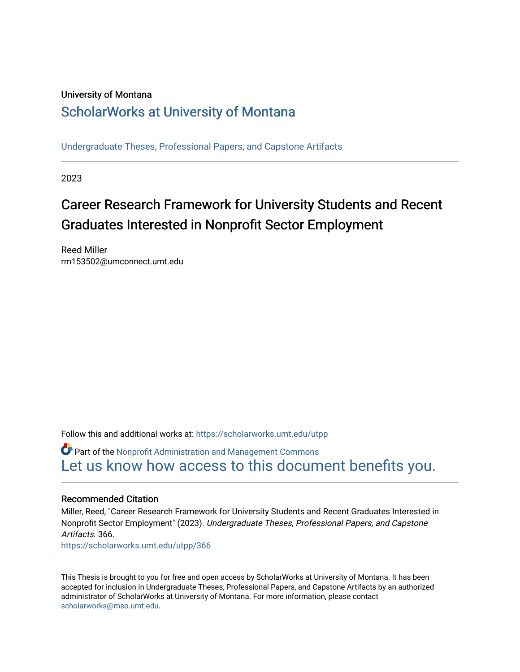#### University of Montana

## [ScholarWorks at University of Montana](https://scholarworks.umt.edu/)

[Undergraduate Theses, Professional Papers, and Capstone Artifacts](https://scholarworks.umt.edu/utpp)

2023

# Career Research Framework for University Students and Recent Graduates Interested in Nonprofit Sector Employment

Reed Miller rm153502@umconnect.umt.edu

Follow this and additional works at: [https://scholarworks.umt.edu/utpp](https://scholarworks.umt.edu/utpp?utm_source=scholarworks.umt.edu%2Futpp%2F366&utm_medium=PDF&utm_campaign=PDFCoverPages)

Part of the [Nonprofit Administration and Management Commons](http://network.bepress.com/hgg/discipline/1228?utm_source=scholarworks.umt.edu%2Futpp%2F366&utm_medium=PDF&utm_campaign=PDFCoverPages)  [Let us know how access to this document benefits you.](https://goo.gl/forms/s2rGfXOLzz71qgsB2) 

#### Recommended Citation

Miller, Reed, "Career Research Framework for University Students and Recent Graduates Interested in Nonprofit Sector Employment" (2023). Undergraduate Theses, Professional Papers, and Capstone Artifacts. 366.

[https://scholarworks.umt.edu/utpp/366](https://scholarworks.umt.edu/utpp/366?utm_source=scholarworks.umt.edu%2Futpp%2F366&utm_medium=PDF&utm_campaign=PDFCoverPages)

This Thesis is brought to you for free and open access by ScholarWorks at University of Montana. It has been accepted for inclusion in Undergraduate Theses, Professional Papers, and Capstone Artifacts by an authorized administrator of ScholarWorks at University of Montana. For more information, please contact [scholarworks@mso.umt.edu.](mailto:scholarworks@mso.umt.edu)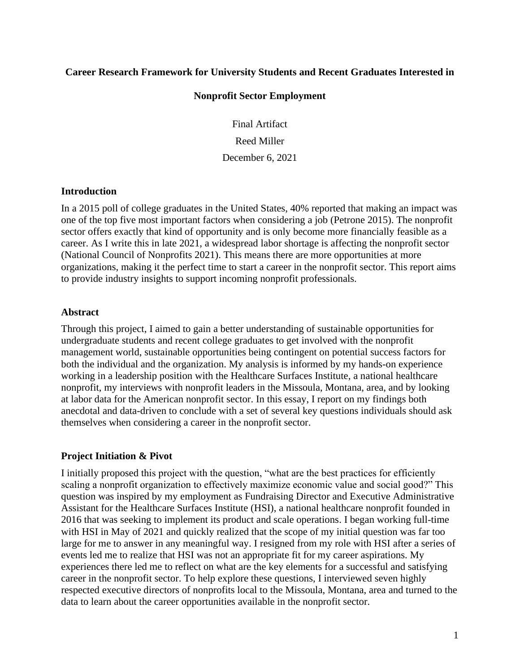#### **Career Research Framework for University Students and Recent Graduates Interested in**

#### **Nonprofit Sector Employment**

Final Artifact Reed Miller December 6, 2021

#### **Introduction**

In a 2015 poll of college graduates in the United States, 40% reported that making an impact was one of the top five most important factors when considering a job (Petrone 2015). The nonprofit sector offers exactly that kind of opportunity and is only become more financially feasible as a career. As I write this in late 2021, a widespread labor shortage is affecting the nonprofit sector (National Council of Nonprofits 2021). This means there are more opportunities at more organizations, making it the perfect time to start a career in the nonprofit sector. This report aims to provide industry insights to support incoming nonprofit professionals.

#### **Abstract**

Through this project, I aimed to gain a better understanding of sustainable opportunities for undergraduate students and recent college graduates to get involved with the nonprofit management world, sustainable opportunities being contingent on potential success factors for both the individual and the organization. My analysis is informed by my hands-on experience working in a leadership position with the Healthcare Surfaces Institute, a national healthcare nonprofit, my interviews with nonprofit leaders in the Missoula, Montana, area, and by looking at labor data for the American nonprofit sector. In this essay, I report on my findings both anecdotal and data-driven to conclude with a set of several key questions individuals should ask themselves when considering a career in the nonprofit sector.

#### **Project Initiation & Pivot**

I initially proposed this project with the question, "what are the best practices for efficiently scaling a nonprofit organization to effectively maximize economic value and social good?" This question was inspired by my employment as Fundraising Director and Executive Administrative Assistant for the Healthcare Surfaces Institute (HSI), a national healthcare nonprofit founded in 2016 that was seeking to implement its product and scale operations. I began working full-time with HSI in May of 2021 and quickly realized that the scope of my initial question was far too large for me to answer in any meaningful way. I resigned from my role with HSI after a series of events led me to realize that HSI was not an appropriate fit for my career aspirations. My experiences there led me to reflect on what are the key elements for a successful and satisfying career in the nonprofit sector. To help explore these questions, I interviewed seven highly respected executive directors of nonprofits local to the Missoula, Montana, area and turned to the data to learn about the career opportunities available in the nonprofit sector.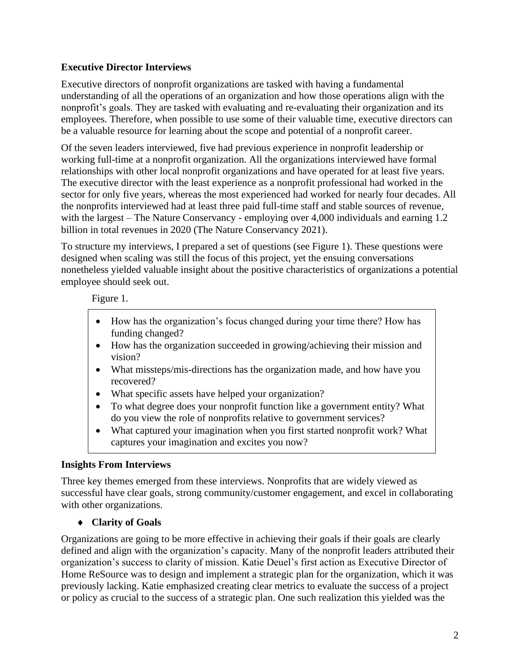## **Executive Director Interviews**

Executive directors of nonprofit organizations are tasked with having a fundamental understanding of all the operations of an organization and how those operations align with the nonprofit's goals. They are tasked with evaluating and re-evaluating their organization and its employees. Therefore, when possible to use some of their valuable time, executive directors can be a valuable resource for learning about the scope and potential of a nonprofit career.

Of the seven leaders interviewed, five had previous experience in nonprofit leadership or working full-time at a nonprofit organization. All the organizations interviewed have formal relationships with other local nonprofit organizations and have operated for at least five years. The executive director with the least experience as a nonprofit professional had worked in the sector for only five years, whereas the most experienced had worked for nearly four decades. All the nonprofits interviewed had at least three paid full-time staff and stable sources of revenue, with the largest – The Nature Conservancy - employing over 4,000 individuals and earning 1.2 billion in total revenues in 2020 (The Nature Conservancy 2021).

To structure my interviews, I prepared a set of questions (see Figure 1). These questions were designed when scaling was still the focus of this project, yet the ensuing conversations nonetheless yielded valuable insight about the positive characteristics of organizations a potential employee should seek out.

Figure 1.

- How has the organization's focus changed during your time there? How has funding changed?
- How has the organization succeeded in growing/achieving their mission and vision?
- What missteps/mis-directions has the organization made, and how have you recovered?
- What specific assets have helped your organization?
- To what degree does your nonprofit function like a government entity? What do you view the role of nonprofits relative to government services?
- What captured your imagination when you first started nonprofit work? What captures your imagination and excites you now?

## **Insights From Interviews**

Three key themes emerged from these interviews. Nonprofits that are widely viewed as successful have clear goals, strong community/customer engagement, and excel in collaborating with other organizations.

## **Clarity of Goals**

Organizations are going to be more effective in achieving their goals if their goals are clearly defined and align with the organization's capacity. Many of the nonprofit leaders attributed their organization's success to clarity of mission. Katie Deuel's first action as Executive Director of Home ReSource was to design and implement a strategic plan for the organization, which it was previously lacking. Katie emphasized creating clear metrics to evaluate the success of a project or policy as crucial to the success of a strategic plan. One such realization this yielded was the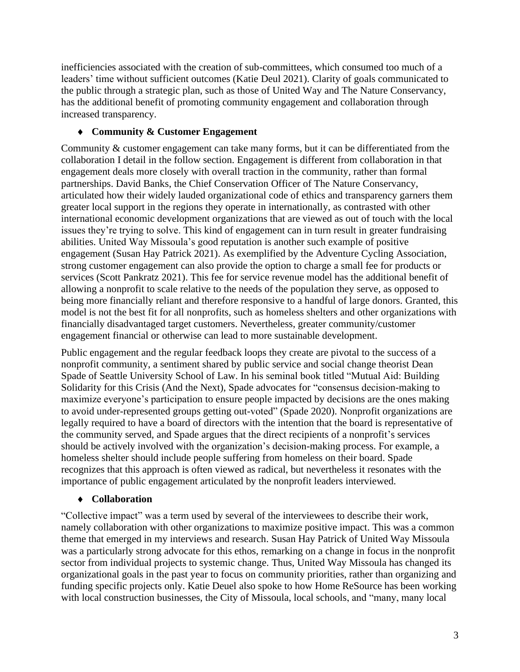inefficiencies associated with the creation of sub-committees, which consumed too much of a leaders' time without sufficient outcomes (Katie Deul 2021). Clarity of goals communicated to the public through a strategic plan, such as those of United Way and The Nature Conservancy, has the additional benefit of promoting community engagement and collaboration through increased transparency.

## **Community & Customer Engagement**

Community & customer engagement can take many forms, but it can be differentiated from the collaboration I detail in the follow section. Engagement is different from collaboration in that engagement deals more closely with overall traction in the community, rather than formal partnerships. David Banks, the Chief Conservation Officer of The Nature Conservancy, articulated how their widely lauded organizational code of ethics and transparency garners them greater local support in the regions they operate in internationally, as contrasted with other international economic development organizations that are viewed as out of touch with the local issues they're trying to solve. This kind of engagement can in turn result in greater fundraising abilities. United Way Missoula's good reputation is another such example of positive engagement (Susan Hay Patrick 2021). As exemplified by the Adventure Cycling Association, strong customer engagement can also provide the option to charge a small fee for products or services (Scott Pankratz 2021). This fee for service revenue model has the additional benefit of allowing a nonprofit to scale relative to the needs of the population they serve, as opposed to being more financially reliant and therefore responsive to a handful of large donors. Granted, this model is not the best fit for all nonprofits, such as homeless shelters and other organizations with financially disadvantaged target customers. Nevertheless, greater community/customer engagement financial or otherwise can lead to more sustainable development.

Public engagement and the regular feedback loops they create are pivotal to the success of a nonprofit community, a sentiment shared by public service and social change theorist Dean Spade of Seattle University School of Law. In his seminal book titled "Mutual Aid: Building Solidarity for this Crisis (And the Next), Spade advocates for "consensus decision-making to maximize everyone's participation to ensure people impacted by decisions are the ones making to avoid under-represented groups getting out-voted" (Spade 2020). Nonprofit organizations are legally required to have a board of directors with the intention that the board is representative of the community served, and Spade argues that the direct recipients of a nonprofit's services should be actively involved with the organization's decision-making process. For example, a homeless shelter should include people suffering from homeless on their board. Spade recognizes that this approach is often viewed as radical, but nevertheless it resonates with the importance of public engagement articulated by the nonprofit leaders interviewed.

## **Collaboration**

"Collective impact" was a term used by several of the interviewees to describe their work, namely collaboration with other organizations to maximize positive impact. This was a common theme that emerged in my interviews and research. Susan Hay Patrick of United Way Missoula was a particularly strong advocate for this ethos, remarking on a change in focus in the nonprofit sector from individual projects to systemic change. Thus, United Way Missoula has changed its organizational goals in the past year to focus on community priorities, rather than organizing and funding specific projects only. Katie Deuel also spoke to how Home ReSource has been working with local construction businesses, the City of Missoula, local schools, and "many, many local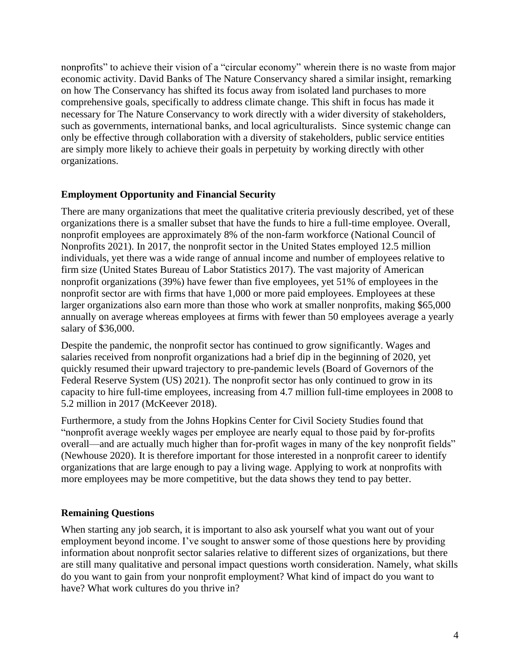nonprofits" to achieve their vision of a "circular economy" wherein there is no waste from major economic activity. David Banks of The Nature Conservancy shared a similar insight, remarking on how The Conservancy has shifted its focus away from isolated land purchases to more comprehensive goals, specifically to address climate change. This shift in focus has made it necessary for The Nature Conservancy to work directly with a wider diversity of stakeholders, such as governments, international banks, and local agriculturalists. Since systemic change can only be effective through collaboration with a diversity of stakeholders, public service entities are simply more likely to achieve their goals in perpetuity by working directly with other organizations.

## **Employment Opportunity and Financial Security**

There are many organizations that meet the qualitative criteria previously described, yet of these organizations there is a smaller subset that have the funds to hire a full-time employee. Overall, nonprofit employees are approximately 8% of the non-farm workforce (National Council of Nonprofits 2021). In 2017, the nonprofit sector in the United States employed 12.5 million individuals, yet there was a wide range of annual income and number of employees relative to firm size (United States Bureau of Labor Statistics 2017). The vast majority of American nonprofit organizations (39%) have fewer than five employees, yet 51% of employees in the nonprofit sector are with firms that have 1,000 or more paid employees. Employees at these larger organizations also earn more than those who work at smaller nonprofits, making \$65,000 annually on average whereas employees at firms with fewer than 50 employees average a yearly salary of \$36,000.

Despite the pandemic, the nonprofit sector has continued to grow significantly. Wages and salaries received from nonprofit organizations had a brief dip in the beginning of 2020, yet quickly resumed their upward trajectory to pre-pandemic levels (Board of Governors of the Federal Reserve System (US) 2021). The nonprofit sector has only continued to grow in its capacity to hire full-time employees, increasing from 4.7 million full-time employees in 2008 to 5.2 million in 2017 (McKeever 2018).

Furthermore, a study from the Johns Hopkins Center for Civil Society Studies found that "nonprofit average weekly wages per employee are nearly equal to those paid by for-profits overall—and are actually much higher than for-profit wages in many of the key nonprofit fields" (Newhouse 2020). It is therefore important for those interested in a nonprofit career to identify organizations that are large enough to pay a living wage. Applying to work at nonprofits with more employees may be more competitive, but the data shows they tend to pay better.

## **Remaining Questions**

When starting any job search, it is important to also ask yourself what you want out of your employment beyond income. I've sought to answer some of those questions here by providing information about nonprofit sector salaries relative to different sizes of organizations, but there are still many qualitative and personal impact questions worth consideration. Namely, what skills do you want to gain from your nonprofit employment? What kind of impact do you want to have? What work cultures do you thrive in?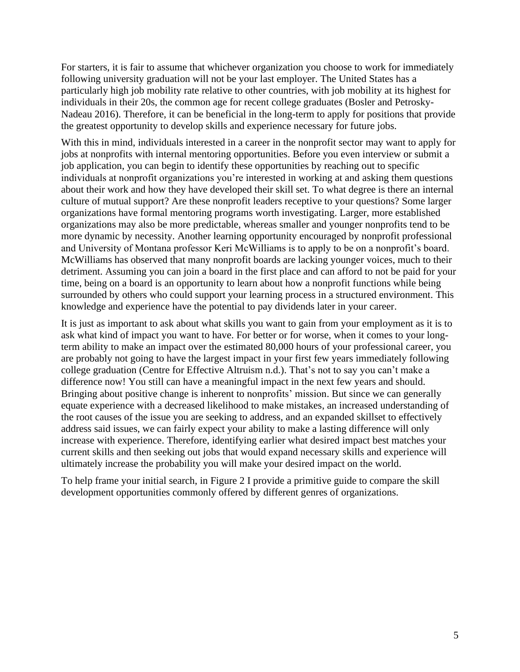For starters, it is fair to assume that whichever organization you choose to work for immediately following university graduation will not be your last employer. The United States has a particularly high job mobility rate relative to other countries, with job mobility at its highest for individuals in their 20s, the common age for recent college graduates (Bosler and Petrosky-Nadeau 2016). Therefore, it can be beneficial in the long-term to apply for positions that provide the greatest opportunity to develop skills and experience necessary for future jobs.

With this in mind, individuals interested in a career in the nonprofit sector may want to apply for jobs at nonprofits with internal mentoring opportunities. Before you even interview or submit a job application, you can begin to identify these opportunities by reaching out to specific individuals at nonprofit organizations you're interested in working at and asking them questions about their work and how they have developed their skill set. To what degree is there an internal culture of mutual support? Are these nonprofit leaders receptive to your questions? Some larger organizations have formal mentoring programs worth investigating. Larger, more established organizations may also be more predictable, whereas smaller and younger nonprofits tend to be more dynamic by necessity. Another learning opportunity encouraged by nonprofit professional and University of Montana professor Keri McWilliams is to apply to be on a nonprofit's board. McWilliams has observed that many nonprofit boards are lacking younger voices, much to their detriment. Assuming you can join a board in the first place and can afford to not be paid for your time, being on a board is an opportunity to learn about how a nonprofit functions while being surrounded by others who could support your learning process in a structured environment. This knowledge and experience have the potential to pay dividends later in your career.

It is just as important to ask about what skills you want to gain from your employment as it is to ask what kind of impact you want to have. For better or for worse, when it comes to your longterm ability to make an impact over the estimated 80,000 hours of your professional career, you are probably not going to have the largest impact in your first few years immediately following college graduation (Centre for Effective Altruism n.d.). That's not to say you can't make a difference now! You still can have a meaningful impact in the next few years and should. Bringing about positive change is inherent to nonprofits' mission. But since we can generally equate experience with a decreased likelihood to make mistakes, an increased understanding of the root causes of the issue you are seeking to address, and an expanded skillset to effectively address said issues, we can fairly expect your ability to make a lasting difference will only increase with experience. Therefore, identifying earlier what desired impact best matches your current skills and then seeking out jobs that would expand necessary skills and experience will ultimately increase the probability you will make your desired impact on the world.

To help frame your initial search, in Figure 2 I provide a primitive guide to compare the skill development opportunities commonly offered by different genres of organizations.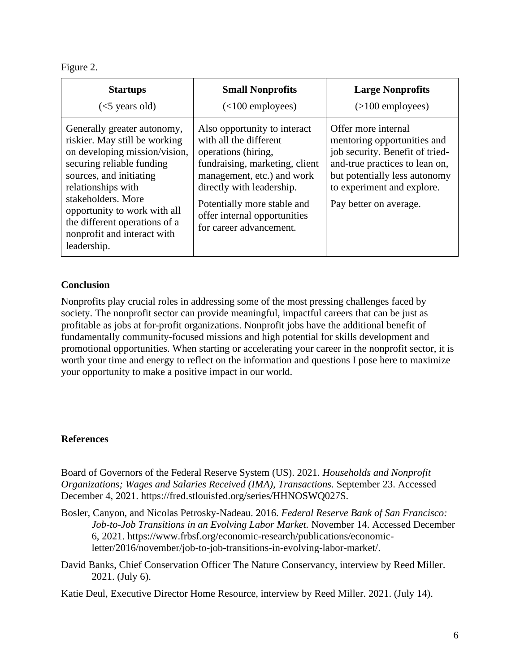Figure 2.

| <b>Startups</b>                                                                                                                                                                                                                                                                                                  | <b>Small Nonprofits</b>                                                                                                                                                                                                                                              | <b>Large Nonprofits</b>                                                                                                                                                                                          |
|------------------------------------------------------------------------------------------------------------------------------------------------------------------------------------------------------------------------------------------------------------------------------------------------------------------|----------------------------------------------------------------------------------------------------------------------------------------------------------------------------------------------------------------------------------------------------------------------|------------------------------------------------------------------------------------------------------------------------------------------------------------------------------------------------------------------|
| $(<5$ years old)                                                                                                                                                                                                                                                                                                 | $(<100$ employees)                                                                                                                                                                                                                                                   | $($ >100 employees)                                                                                                                                                                                              |
| Generally greater autonomy,<br>riskier. May still be working<br>on developing mission/vision,<br>securing reliable funding<br>sources, and initiating<br>relationships with<br>stakeholders. More<br>opportunity to work with all<br>the different operations of a<br>nonprofit and interact with<br>leadership. | Also opportunity to interact<br>with all the different<br>operations (hiring,<br>fundraising, marketing, client<br>management, etc.) and work<br>directly with leadership.<br>Potentially more stable and<br>offer internal opportunities<br>for career advancement. | Offer more internal<br>mentoring opportunities and<br>job security. Benefit of tried-<br>and-true practices to lean on,<br>but potentially less autonomy<br>to experiment and explore.<br>Pay better on average. |

## **Conclusion**

Nonprofits play crucial roles in addressing some of the most pressing challenges faced by society. The nonprofit sector can provide meaningful, impactful careers that can be just as profitable as jobs at for-profit organizations. Nonprofit jobs have the additional benefit of fundamentally community-focused missions and high potential for skills development and promotional opportunities. When starting or accelerating your career in the nonprofit sector, it is worth your time and energy to reflect on the information and questions I pose here to maximize your opportunity to make a positive impact in our world.

#### **References**

Board of Governors of the Federal Reserve System (US). 2021. *Households and Nonprofit Organizations; Wages and Salaries Received (IMA), Transactions.* September 23. Accessed December 4, 2021. https://fred.stlouisfed.org/series/HHNOSWQ027S.

- Bosler, Canyon, and Nicolas Petrosky-Nadeau. 2016. *Federal Reserve Bank of San Francisco: Job-to-Job Transitions in an Evolving Labor Market.* November 14. Accessed December 6, 2021. https://www.frbsf.org/economic-research/publications/economicletter/2016/november/job-to-job-transitions-in-evolving-labor-market/.
- David Banks, Chief Conservation Officer The Nature Conservancy, interview by Reed Miller. 2021. (July 6).

Katie Deul, Executive Director Home Resource, interview by Reed Miller. 2021. (July 14).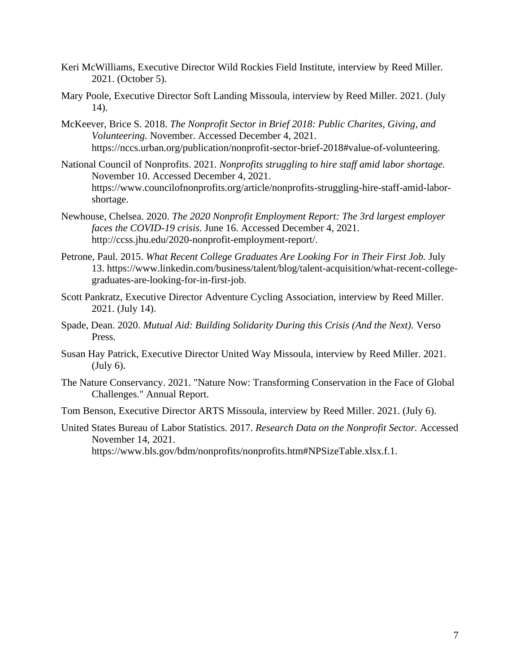- Keri McWilliams, Executive Director Wild Rockies Field Institute, interview by Reed Miller. 2021. (October 5).
- Mary Poole, Executive Director Soft Landing Missoula, interview by Reed Miller. 2021. (July 14).
- McKeever, Brice S. 2018. *The Nonprofit Sector in Brief 2018: Public Charites, Giving, and Volunteering.* November. Accessed December 4, 2021. https://nccs.urban.org/publication/nonprofit-sector-brief-2018#value-of-volunteering.
- National Council of Nonprofits. 2021. *Nonprofits struggling to hire staff amid labor shortage.* November 10. Accessed December 4, 2021. https://www.councilofnonprofits.org/article/nonprofits-struggling-hire-staff-amid-laborshortage.
- Newhouse, Chelsea. 2020. *The 2020 Nonprofit Employment Report: The 3rd largest employer faces the COVID-19 crisis.* June 16. Accessed December 4, 2021. http://ccss.jhu.edu/2020-nonprofit-employment-report/.
- Petrone, Paul. 2015. *What Recent College Graduates Are Looking For in Their First Job.* July 13. https://www.linkedin.com/business/talent/blog/talent-acquisition/what-recent-collegegraduates-are-looking-for-in-first-job.
- Scott Pankratz, Executive Director Adventure Cycling Association, interview by Reed Miller. 2021. (July 14).
- Spade, Dean. 2020. *Mutual Aid: Building Solidarity During this Crisis (And the Next).* Verso Press.
- Susan Hay Patrick, Executive Director United Way Missoula, interview by Reed Miller. 2021. (July 6).
- The Nature Conservancy. 2021. "Nature Now: Transforming Conservation in the Face of Global Challenges." Annual Report.
- Tom Benson, Executive Director ARTS Missoula, interview by Reed Miller. 2021. (July 6).
- United States Bureau of Labor Statistics. 2017. *Research Data on the Nonprofit Sector.* Accessed November 14, 2021. https://www.bls.gov/bdm/nonprofits/nonprofits.htm#NPSizeTable.xlsx.f.1.